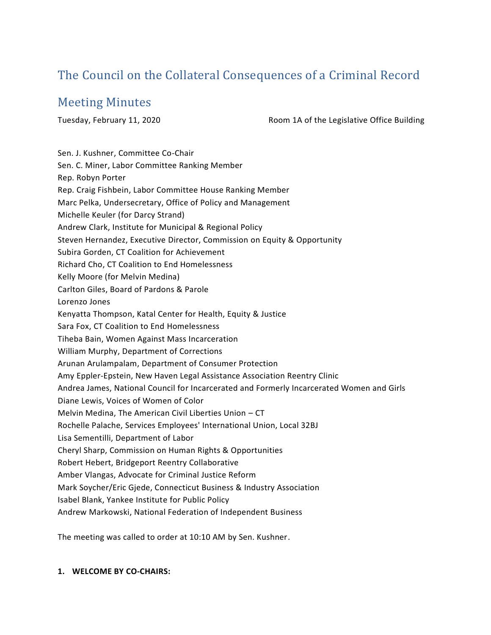# The Council on the Collateral Consequences of a Criminal Record

# Meeting Minutes

Tuesday, February 11, 2020 Room 1A of the Legislative Office Building

Sen. J. Kushner, Committee Co-Chair Sen. C. Miner, Labor Committee Ranking Member Rep. Robyn Porter Rep. Craig Fishbein, Labor Committee House Ranking Member Marc Pelka, Undersecretary, Office of Policy and Management Michelle Keuler (for Darcy Strand) Andrew Clark, Institute for Municipal & Regional Policy Steven Hernandez, Executive Director, Commission on Equity & Opportunity Subira Gorden, CT Coalition for Achievement Richard Cho, CT Coalition to End Homelessness Kelly Moore (for Melvin Medina) Carlton Giles, Board of Pardons & Parole Lorenzo Jones Kenyatta Thompson, Katal Center for Health, Equity & Justice Sara Fox, CT Coalition to End Homelessness Tiheba Bain, Women Against Mass Incarceration William Murphy, Department of Corrections Arunan Arulampalam, Department of Consumer Protection Amy Eppler-Epstein, New Haven Legal Assistance Association Reentry Clinic Andrea James, National Council for Incarcerated and Formerly Incarcerated Women and Girls Diane Lewis, Voices of Women of Color Melvin Medina, The American Civil Liberties Union – CT Rochelle Palache, Services Employees' International Union, Local 32BJ Lisa Sementilli, Department of Labor Cheryl Sharp, Commission on Human Rights & Opportunities Robert Hebert, Bridgeport Reentry Collaborative Amber Vlangas, Advocate for Criminal Justice Reform Mark Soycher/Eric Gjede, Connecticut Business & Industry Association Isabel Blank, Yankee Institute for Public Policy

Andrew Markowski, National Federation of Independent Business

The meeting was called to order at 10:10 AM by Sen. Kushner.

#### **1. WELCOME BY CO-CHAIRS:**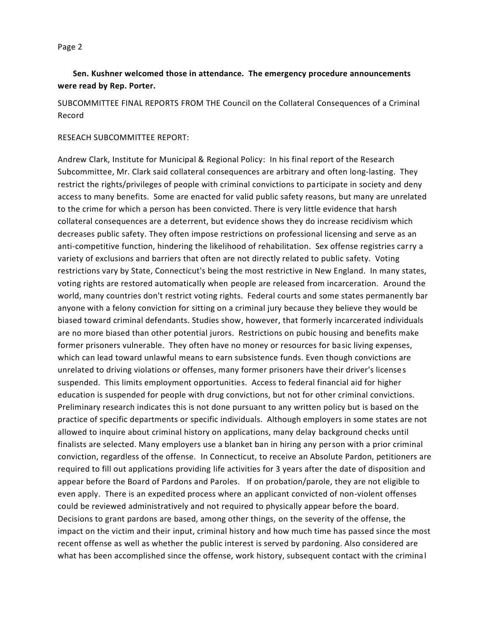## **Sen. Kushner welcomed those in attendance. The emergency procedure announcements were read by Rep. Porter.**

SUBCOMMITTEE FINAL REPORTS FROM THE Council on the Collateral Consequences of a Criminal Record

#### RESEACH SUBCOMMITTEE REPORT:

Andrew Clark, Institute for Municipal & Regional Policy: In his final report of the Research Subcommittee, Mr. Clark said collateral consequences are arbitrary and often long-lasting. They restrict the rights/privileges of people with criminal convictions to participate in society and deny access to many benefits. Some are enacted for valid public safety reasons, but many are unrelated to the crime for which a person has been convicted. There is very little evidence that harsh collateral consequences are a deterrent, but evidence shows they do increase recidivism which decreases public safety. They often impose restrictions on professional licensing and serve as an anti-competitive function, hindering the likelihood of rehabilitation. Sex offense registries carry a variety of exclusions and barriers that often are not directly related to public safety. Voting restrictions vary by State, Connecticut's being the most restrictive in New England. In many states, voting rights are restored automatically when people are released from incarceration. Around the world, many countries don't restrict voting rights. Federal courts and some states permanently bar anyone with a felony conviction for sitting on a criminal jury because they believe they would be biased toward criminal defendants. Studies show, however, that formerly incarcerated individuals are no more biased than other potential jurors. Restrictions on pubic housing and benefits make former prisoners vulnerable. They often have no money or resources for basic living expenses, which can lead toward unlawful means to earn subsistence funds. Even though convictions are unrelated to driving violations or offenses, many former prisoners have their driver's licenses suspended. This limits employment opportunities. Access to federal financial aid for higher education is suspended for people with drug convictions, but not for other criminal convictions. Preliminary research indicates this is not done pursuant to any written policy but is based on the practice of specific departments or specific individuals. Although employers in some states are not allowed to inquire about criminal history on applications, many delay background checks until finalists are selected. Many employers use a blanket ban in hiring any person with a prior criminal conviction, regardless of the offense. In Connecticut, to receive an Absolute Pardon, petitioners are required to fill out applications providing life activities for 3 years after the date of disposition and appear before the Board of Pardons and Paroles. If on probation/parole, they are not eligible to even apply. There is an expedited process where an applicant convicted of non-violent offenses could be reviewed administratively and not required to physically appear before the board. Decisions to grant pardons are based, among other things, on the severity of the offense, the impact on the victim and their input, criminal history and how much time has passed since the most recent offense as well as whether the public interest is served by pardoning. Also considered are what has been accomplished since the offense, work history, subsequent contact with the crimina l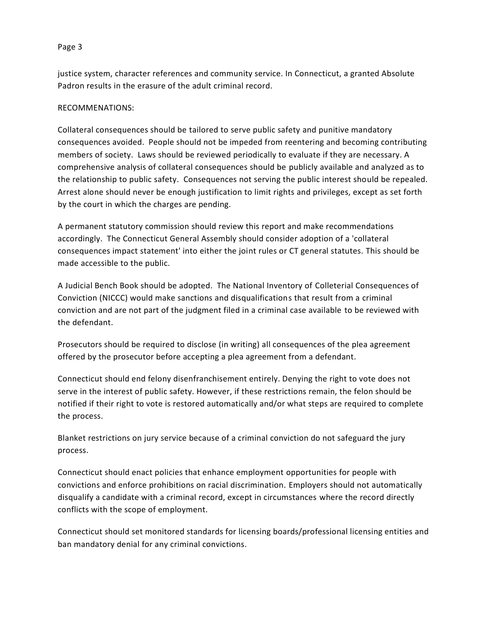justice system, character references and community service. In Connecticut, a granted Absolute Padron results in the erasure of the adult criminal record.

#### RECOMMENATIONS:

Collateral consequences should be tailored to serve public safety and punitive mandatory consequences avoided. People should not be impeded from reentering and becoming contributing members of society. Laws should be reviewed periodically to evaluate if they are necessary. A comprehensive analysis of collateral consequences should be publicly available and analyzed as to the relationship to public safety. Consequences not serving the public interest should be repealed. Arrest alone should never be enough justification to limit rights and privileges, except as set forth by the court in which the charges are pending.

A permanent statutory commission should review this report and make recommendations accordingly. The Connecticut General Assembly should consider adoption of a 'collateral consequences impact statement' into either the joint rules or CT general statutes. This should be made accessible to the public.

A Judicial Bench Book should be adopted. The National Inventory of Colleterial Consequences of Conviction (NICCC) would make sanctions and disqualifications that result from a criminal conviction and are not part of the judgment filed in a criminal case available to be reviewed with the defendant.

Prosecutors should be required to disclose (in writing) all consequences of the plea agreement offered by the prosecutor before accepting a plea agreement from a defendant.

Connecticut should end felony disenfranchisement entirely. Denying the right to vote does not serve in the interest of public safety. However, if these restrictions remain, the felon should be notified if their right to vote is restored automatically and/or what steps are required to complete the process.

Blanket restrictions on jury service because of a criminal conviction do not safeguard the jury process.

Connecticut should enact policies that enhance employment opportunities for people with convictions and enforce prohibitions on racial discrimination. Employers should not automatically disqualify a candidate with a criminal record, except in circumstances where the record directly conflicts with the scope of employment.

Connecticut should set monitored standards for licensing boards/professional licensing entities and ban mandatory denial for any criminal convictions.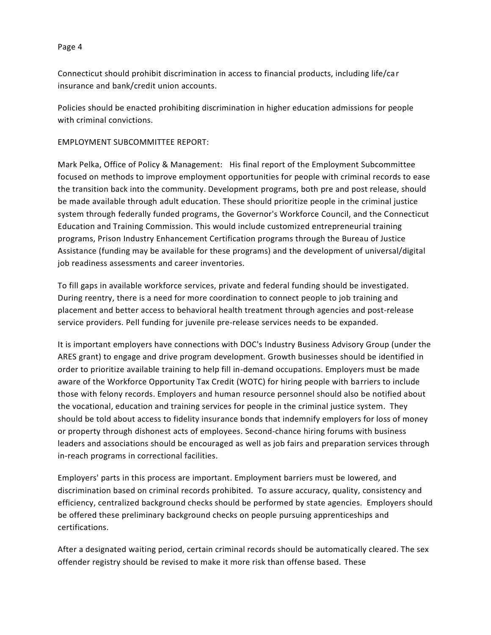Connecticut should prohibit discrimination in access to financial products, including life/car insurance and bank/credit union accounts.

Policies should be enacted prohibiting discrimination in higher education admissions for people with criminal convictions.

#### EMPLOYMENT SUBCOMMITTEE REPORT:

Mark Pelka, Office of Policy & Management: His final report of the Employment Subcommittee focused on methods to improve employment opportunities for people with criminal records to ease the transition back into the community. Development programs, both pre and post release, should be made available through adult education. These should prioritize people in the criminal justice system through federally funded programs, the Governor's Workforce Council, and the Connecticut Education and Training Commission. This would include customized entrepreneurial training programs, Prison Industry Enhancement Certification programs through the Bureau of Justice Assistance (funding may be available for these programs) and the development of universal/digital job readiness assessments and career inventories.

To fill gaps in available workforce services, private and federal funding should be investigated. During reentry, there is a need for more coordination to connect people to job training and placement and better access to behavioral health treatment through agencies and post-release service providers. Pell funding for juvenile pre-release services needs to be expanded.

It is important employers have connections with DOC's Industry Business Advisory Group (under the ARES grant) to engage and drive program development. Growth businesses should be identified in order to prioritize available training to help fill in-demand occupations. Employers must be made aware of the Workforce Opportunity Tax Credit (WOTC) for hiring people with barriers to include those with felony records. Employers and human resource personnel should also be notified about the vocational, education and training services for people in the criminal justice system. They should be told about access to fidelity insurance bonds that indemnify employers for loss of money or property through dishonest acts of employees. Second-chance hiring forums with business leaders and associations should be encouraged as well as job fairs and preparation services through in-reach programs in correctional facilities.

Employers' parts in this process are important. Employment barriers must be lowered, and discrimination based on criminal records prohibited. To assure accuracy, quality, consistency and efficiency, centralized background checks should be performed by state agencies. Employers should be offered these preliminary background checks on people pursuing apprenticeships and certifications.

After a designated waiting period, certain criminal records should be automatically cleared. The sex offender registry should be revised to make it more risk than offense based. These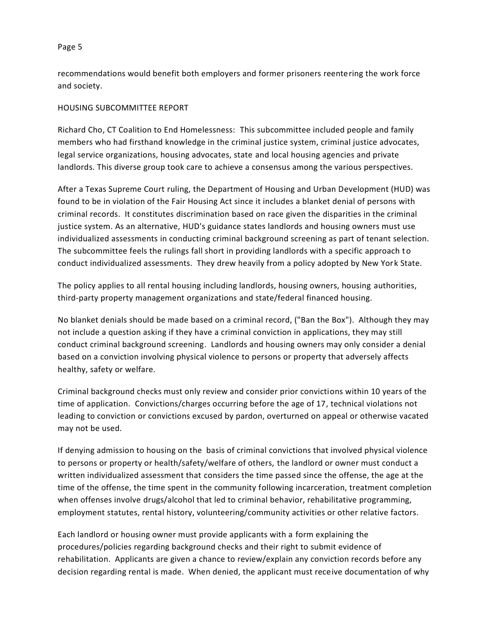recommendations would benefit both employers and former prisoners reentering the work force and society.

#### HOUSING SUBCOMMITTEE REPORT

Richard Cho, CT Coalition to End Homelessness: This subcommittee included people and family members who had firsthand knowledge in the criminal justice system, criminal justice advocates, legal service organizations, housing advocates, state and local housing agencies and private landlords. This diverse group took care to achieve a consensus among the various perspectives.

After a Texas Supreme Court ruling, the Department of Housing and Urban Development (HUD) was found to be in violation of the Fair Housing Act since it includes a blanket denial of persons with criminal records. It constitutes discrimination based on race given the disparities in the criminal justice system. As an alternative, HUD's guidance states landlords and housing owners must use individualized assessments in conducting criminal background screening as part of tenant selection. The subcommittee feels the rulings fall short in providing landlords with a specific approach to conduct individualized assessments. They drew heavily from a policy adopted by New York State.

The policy applies to all rental housing including landlords, housing owners, housing authorities, third-party property management organizations and state/federal financed housing.

No blanket denials should be made based on a criminal record, ("Ban the Box"). Although they may not include a question asking if they have a criminal conviction in applications, they may still conduct criminal background screening. Landlords and housing owners may only consider a denial based on a conviction involving physical violence to persons or property that adversely affects healthy, safety or welfare.

Criminal background checks must only review and consider prior convictions within 10 years of the time of application. Convictions/charges occurring before the age of 17, technical violations not leading to conviction or convictions excused by pardon, overturned on appeal or otherwise vacated may not be used.

If denying admission to housing on the basis of criminal convictions that involved physical violence to persons or property or health/safety/welfare of others, the landlord or owner must conduct a written individualized assessment that considers the time passed since the offense, the age at the time of the offense, the time spent in the community following incarceration, treatment completion when offenses involve drugs/alcohol that led to criminal behavior, rehabilitative programming, employment statutes, rental history, volunteering/community activities or other relative factors.

Each landlord or housing owner must provide applicants with a form explaining the procedures/policies regarding background checks and their right to submit evidence of rehabilitation. Applicants are given a chance to review/explain any conviction records before any decision regarding rental is made. When denied, the applicant must receive documentation of why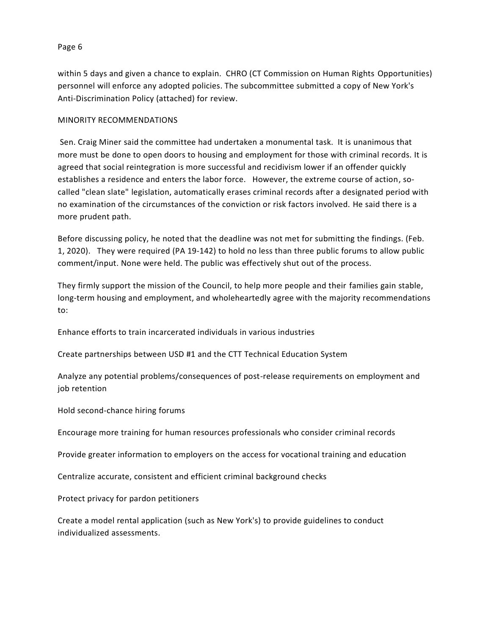within 5 days and given a chance to explain. CHRO (CT Commission on Human Rights Opportunities) personnel will enforce any adopted policies. The subcommittee submitted a copy of New York's Anti-Discrimination Policy (attached) for review.

#### MINORITY RECOMMENDATIONS

Sen. Craig Miner said the committee had undertaken a monumental task. It is unanimous that more must be done to open doors to housing and employment for those with criminal records. It is agreed that social reintegration is more successful and recidivism lower if an offender quickly establishes a residence and enters the labor force. However, the extreme course of action, socalled "clean slate" legislation, automatically erases criminal records after a designated period with no examination of the circumstances of the conviction or risk factors involved. He said there is a more prudent path.

Before discussing policy, he noted that the deadline was not met for submitting the findings. (Feb. 1, 2020). They were required (PA 19-142) to hold no less than three public forums to allow public comment/input. None were held. The public was effectively shut out of the process.

They firmly support the mission of the Council, to help more people and their families gain stable, long-term housing and employment, and wholeheartedly agree with the majority recommendations to:

Enhance efforts to train incarcerated individuals in various industries

Create partnerships between USD #1 and the CTT Technical Education System

Analyze any potential problems/consequences of post-release requirements on employment and job retention

Hold second-chance hiring forums

Encourage more training for human resources professionals who consider criminal records

Provide greater information to employers on the access for vocational training and education

Centralize accurate, consistent and efficient criminal background checks

Protect privacy for pardon petitioners

Create a model rental application (such as New York's) to provide guidelines to conduct individualized assessments.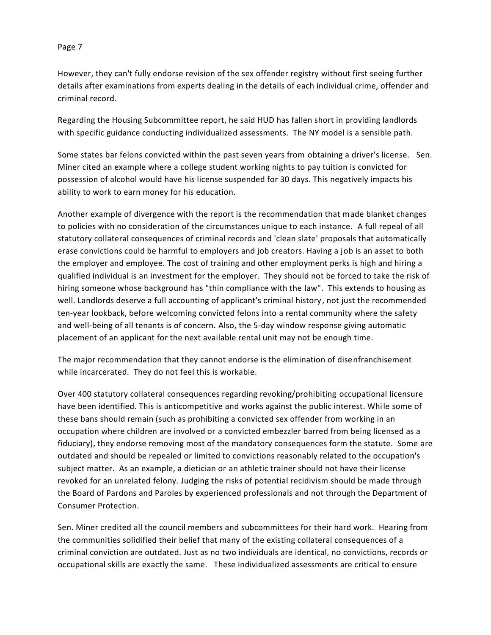However, they can't fully endorse revision of the sex offender registry without first seeing further details after examinations from experts dealing in the details of each individual crime, offender and criminal record.

Regarding the Housing Subcommittee report, he said HUD has fallen short in providing landlords with specific guidance conducting individualized assessments. The NY model is a sensible path.

Some states bar felons convicted within the past seven years from obtaining a driver's license. Sen. Miner cited an example where a college student working nights to pay tuition is convicted for possession of alcohol would have his license suspended for 30 days. This negatively impacts his ability to work to earn money for his education.

Another example of divergence with the report is the recommendation that made blanket changes to policies with no consideration of the circumstances unique to each instance. A full repeal of all statutory collateral consequences of criminal records and 'clean slate' proposals that automatically erase convictions could be harmful to employers and job creators. Having a job is an asset to both the employer and employee. The cost of training and other employment perks is high and hiring a qualified individual is an investment for the employer. They should not be forced to take the risk of hiring someone whose background has "thin compliance with the law". This extends to housing as well. Landlords deserve a full accounting of applicant's criminal history, not just the recommended ten-year lookback, before welcoming convicted felons into a rental community where the safety and well-being of all tenants is of concern. Also, the 5-day window response giving automatic placement of an applicant for the next available rental unit may not be enough time.

The major recommendation that they cannot endorse is the elimination of disenfranchisement while incarcerated. They do not feel this is workable.

Over 400 statutory collateral consequences regarding revoking/prohibiting occupational licensure have been identified. This is anticompetitive and works against the public interest. While some of these bans should remain (such as prohibiting a convicted sex offender from working in an occupation where children are involved or a convicted embezzler barred from being licensed as a fiduciary), they endorse removing most of the mandatory consequences form the statute. Some are outdated and should be repealed or limited to convictions reasonably related to the occupation's subject matter. As an example, a dietician or an athletic trainer should not have their license revoked for an unrelated felony. Judging the risks of potential recidivism should be made through the Board of Pardons and Paroles by experienced professionals and not through the Department of Consumer Protection.

Sen. Miner credited all the council members and subcommittees for their hard work. Hearing from the communities solidified their belief that many of the existing collateral consequences of a criminal conviction are outdated. Just as no two individuals are identical, no convictions, records or occupational skills are exactly the same. These individualized assessments are critical to ensure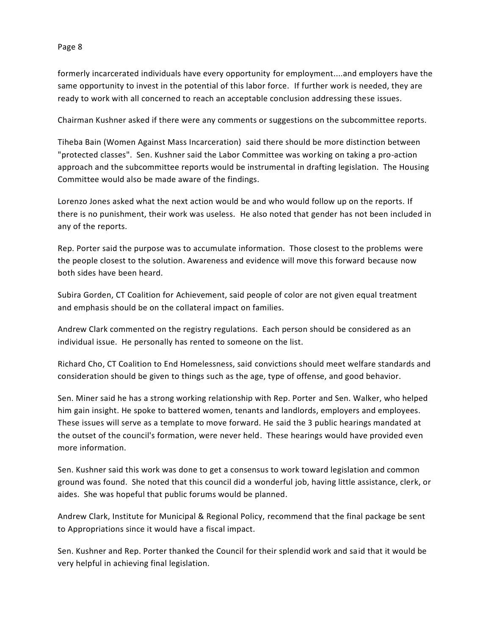formerly incarcerated individuals have every opportunity for employment....and employers have the same opportunity to invest in the potential of this labor force. If further work is needed, they are ready to work with all concerned to reach an acceptable conclusion addressing these issues.

Chairman Kushner asked if there were any comments or suggestions on the subcommittee reports.

Tiheba Bain (Women Against Mass Incarceration) said there should be more distinction between "protected classes". Sen. Kushner said the Labor Committee was working on taking a pro-action approach and the subcommittee reports would be instrumental in drafting legislation. The Housing Committee would also be made aware of the findings.

Lorenzo Jones asked what the next action would be and who would follow up on the reports. If there is no punishment, their work was useless. He also noted that gender has not been included in any of the reports.

Rep. Porter said the purpose was to accumulate information. Those closest to the problems were the people closest to the solution. Awareness and evidence will move this forward because now both sides have been heard.

Subira Gorden, CT Coalition for Achievement, said people of color are not given equal treatment and emphasis should be on the collateral impact on families.

Andrew Clark commented on the registry regulations. Each person should be considered as an individual issue. He personally has rented to someone on the list.

Richard Cho, CT Coalition to End Homelessness, said convictions should meet welfare standards and consideration should be given to things such as the age, type of offense, and good behavior.

Sen. Miner said he has a strong working relationship with Rep. Porter and Sen. Walker, who helped him gain insight. He spoke to battered women, tenants and landlords, employers and employees. These issues will serve as a template to move forward. He said the 3 public hearings mandated at the outset of the council's formation, were never held. These hearings would have provided even more information.

Sen. Kushner said this work was done to get a consensus to work toward legislation and common ground was found. She noted that this council did a wonderful job, having little assistance, clerk, or aides. She was hopeful that public forums would be planned.

Andrew Clark, Institute for Municipal & Regional Policy, recommend that the final package be sent to Appropriations since it would have a fiscal impact.

Sen. Kushner and Rep. Porter thanked the Council for their splendid work and said that it would be very helpful in achieving final legislation.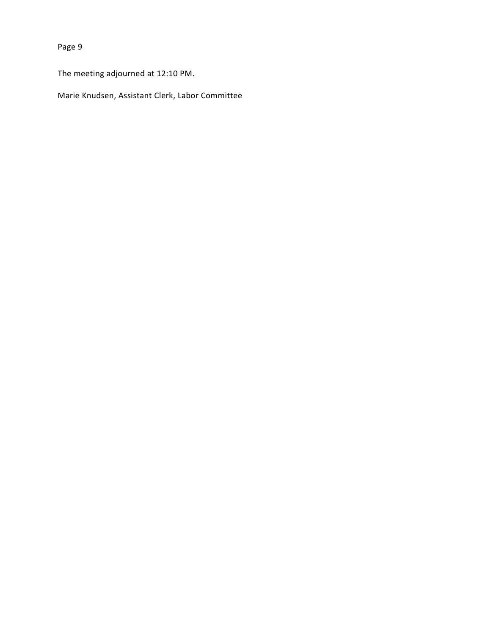The meeting adjourned at 12:10 PM.

Marie Knudsen, Assistant Clerk, Labor Committee